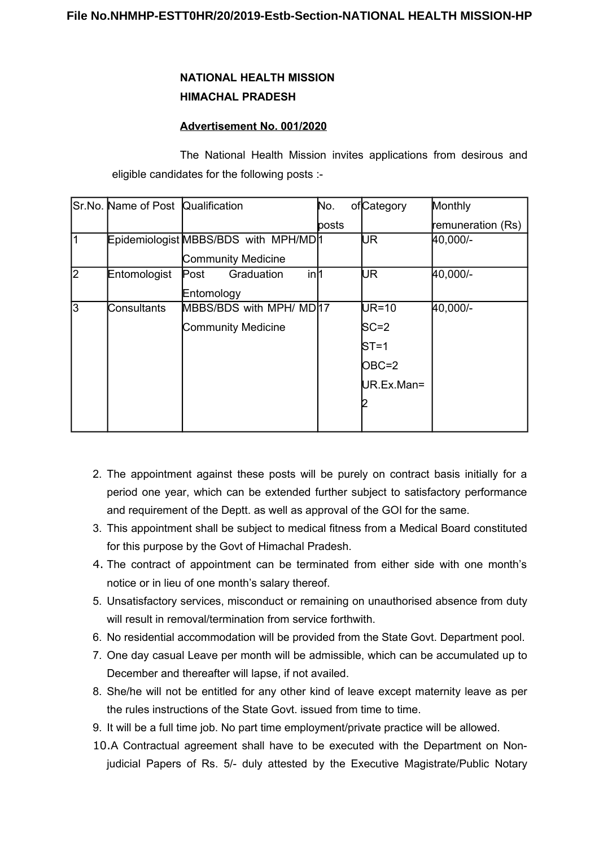## **NATIONAL HEALTH MISSION HIMACHAL PRADESH**

## **Advertisement No. 001/2020**

The National Health Mission invites applications from desirous and eligible candidates for the following posts :-

|                | Sr.No. Name of Post Qualification |                                       | No.   | ofCategory | Monthly               |
|----------------|-----------------------------------|---------------------------------------|-------|------------|-----------------------|
|                |                                   |                                       | posts |            | remuneration (Rs)     |
| 1              |                                   | Epidemiologist MBBS/BDS with MPH/MD 1 |       | UR         | H <sub>0</sub> ,000/- |
|                |                                   | <b>Community Medicine</b>             |       |            |                       |
| $\overline{2}$ | Entomologist                      | in <sub>1</sub><br>Graduation<br>Post |       | UR         | 40,000/-              |
|                |                                   | Entomology                            |       |            |                       |
| l3             | Consultants                       | MBBS/BDS with MPH/ MD 17              |       | $UR=10$    | 40,000/-              |
|                |                                   | <b>Community Medicine</b>             |       | $SC = 2$   |                       |
|                |                                   |                                       |       | $ST = 1$   |                       |
|                |                                   |                                       |       | $OBC=2$    |                       |
|                |                                   |                                       |       | UR.Ex.Man= |                       |
|                |                                   |                                       |       |            |                       |
|                |                                   |                                       |       |            |                       |

- 2. The appointment against these posts will be purely on contract basis initially for a period one year, which can be extended further subject to satisfactory performance and requirement of the Deptt. as well as approval of the GOI for the same.
- 3. This appointment shall be subject to medical fitness from a Medical Board constituted for this purpose by the Govt of Himachal Pradesh.
- 4. The contract of appointment can be terminated from either side with one month's notice or in lieu of one month's salary thereof.
- 5. Unsatisfactory services, misconduct or remaining on unauthorised absence from duty will result in removal/termination from service forthwith.
- 6. No residential accommodation will be provided from the State Govt. Department pool.
- 7. One day casual Leave per month will be admissible, which can be accumulated up to December and thereafter will lapse, if not availed.
- 8. She/he will not be entitled for any other kind of leave except maternity leave as per the rules instructions of the State Govt. issued from time to time.
- 9. It will be a full time job. No part time employment/private practice will be allowed.
- 10.A Contractual agreement shall have to be executed with the Department on Nonjudicial Papers of Rs. 5/- duly attested by the Executive Magistrate/Public Notary